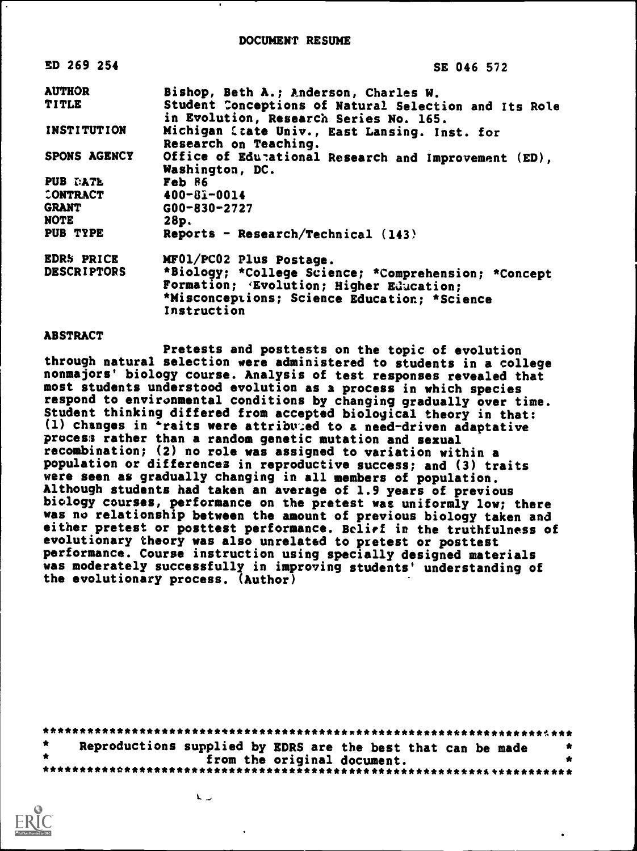| ED 269 254          | SE 046 572                                                                                                                                       |
|---------------------|--------------------------------------------------------------------------------------------------------------------------------------------------|
| <b>AUTHOR</b>       | Bishop, Beth A.; Anderson, Charles W.                                                                                                            |
| TITLE               | Student Conceptions of Natural Selection and Its Role<br>in Evolution, Research Series No. 165.                                                  |
| <b>INSTITUTION</b>  | Michigan State Univ., East Lansing. Inst. for<br>Research on Teaching.                                                                           |
| <b>SPONS AGENCY</b> | Office of Edunational Research and Improvement (ED),<br>Washington, DC.                                                                          |
| <b>PUB DATE</b>     | Feb 86                                                                                                                                           |
| CONTRACT            | $400 - 81 - 0014$                                                                                                                                |
| <b>GRANT</b>        | $G00 - 830 - 2727$                                                                                                                               |
| NOTE                | 28p.                                                                                                                                             |
| PUB TYPE            | Reports - Research/Technical (143)                                                                                                               |
| <b>EDRS PRICE</b>   | MF01/PC02 Plus Postage.                                                                                                                          |
| <b>DESCRIPTORS</b>  | *Biology; *College Science; *Comprehension; *Concept<br>Formation; 'Evolution; Higher Education;<br>*Misconceptions; Science Education; *Science |
|                     | Instruction                                                                                                                                      |

### ABSTRACT

Pretests and posttests on the topic of evolution through natural selection were administered to students in a college nonmajors' biology course. Analysis of test responses revealed that most students understood evolution as a process in which species respond to environmental conditions by changing gradually over time. Student thinking differed from accepted biological theory in that: (1) changes in <sup>2</sup>raits were attribuied to a need-driven adaptative process rather than a random genetic mutation and sexual recombination; (2) no role was assigned to variation within a population or differences in reproductive success; and (3) traits were seen as gradually changing in all members of population. Although students had taken an average of 1.9 years of previous biology courses, performance on the pretest was uniformly low; there was no relationship between the amount of previous biology taken and either pretest or posttest performance. Belief in the truthfulness of evolutionary theory was also unrelated to pretest or posttest performance. Course instruction using specially designed materials was moderately successfully in improving students' understanding of the evolutionary process. (Author)

| Reproductions supplied by EDRS are the best that can be made |  |                             |  |  |  |
|--------------------------------------------------------------|--|-----------------------------|--|--|--|
|                                                              |  | from the original document. |  |  |  |
|                                                              |  |                             |  |  |  |

 $\mathbf{L}$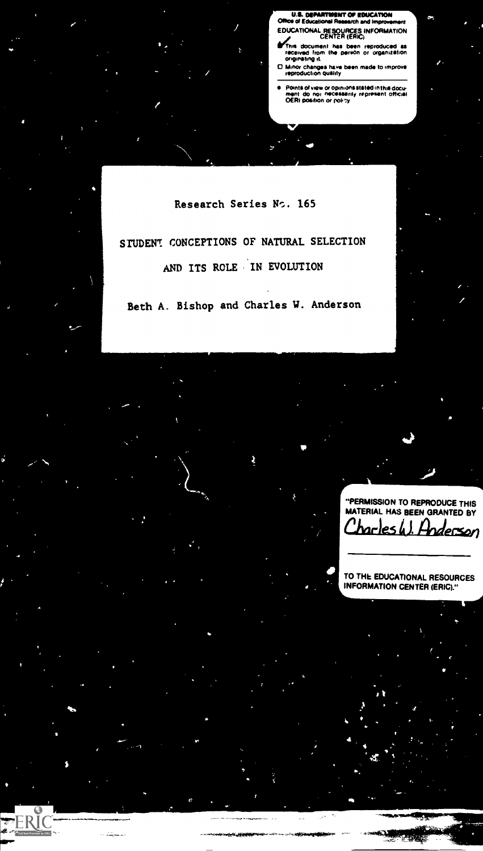U.S. DEPARTMENT OF EDUCATION<br>Office of Educational Research and Improver Mee el EducatIonal Research and Improvement EDUCATIONAL RESOURCES INFORMATION CENTER (ERIC)

**ib4his document has been reproduced as<br>received from the person or organization**<br>originating it.

O Minor changes have been made to improve reproduction quality

 $\bullet$ Points of view or Opinions Stated in this docu-ment do not necessarily represent official OEM pompon or poPsy

Research Series No. 165

STUDENT CONCEPTIONS OF NATURAL SELECTION AND ITS ROLE IN EVOLUTION

Beth A. Bishop and Charles W. Anderson

"PERMISSION TO REPRODUCE THIS MATERIAL HAS BEEN GRANTED BY

TO THE EDUCATIONAL RESOURCES INFORMATION CENTER (ERIC)."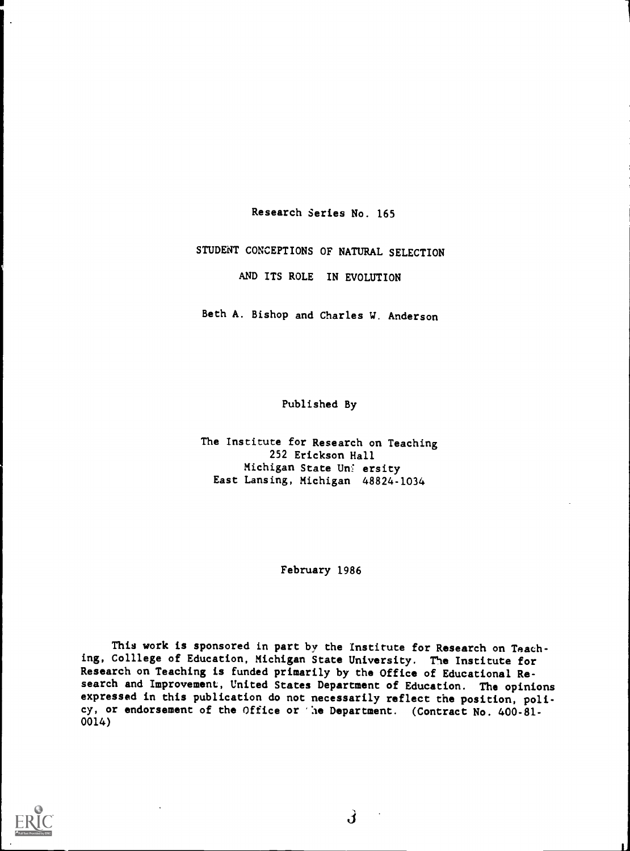Research Series No. 165

1

1

STUDENT CONCEPTIONS OF NATURAL SELECTION

AND ITS ROLE IN EVOLUTION

Beth A. Bishop and Charles W. Anderson

Published By

The Institute for Research on Teaching 252 Erickson Hall Michigan State Uni ersity East Lansing, Michigan 48824-1034

February 1986

This work is sponsored in part by the Institute for Research on Teaching, Colllege of Education, Michigan State University. The Institute for Research on Teaching is funded primarily by the Office of Educational Research and Improvement, United States Department of Education. The opinions expressed in this publication do not necessarily reflect the position, policy, or endorsement of the Office or 'he Department. (Contract No. 400-81-0014)

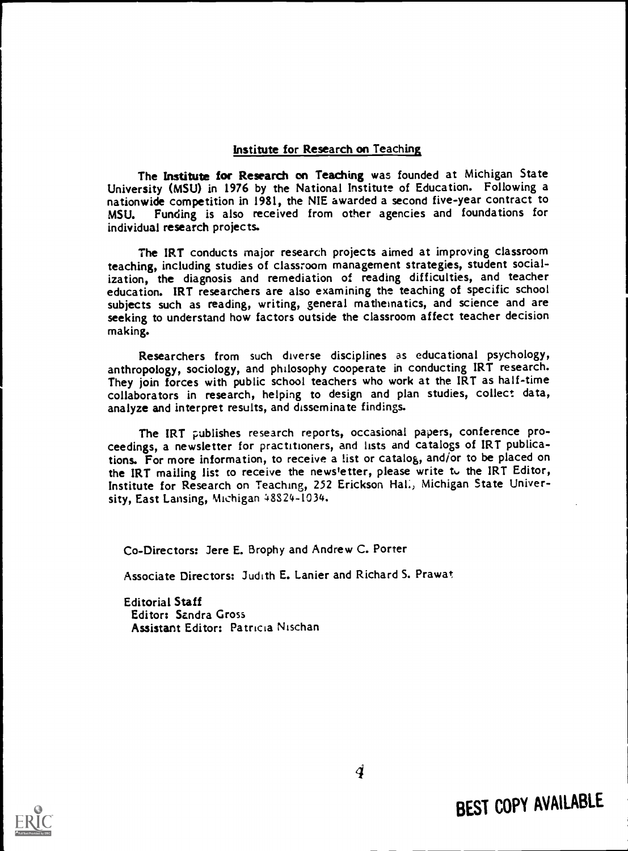## Institute for Research on Teaching

The Institute for Research on Teaching was founded at Michigan State University (MSU) in 1976 by the National Institute of Education. Following a nationwide competition in 1981, the NIE awarded a second five-year contract to MSU. Funding is also received from other agencies and foundations for individual research projects.

The IRT conducts major research projects aimed at improving classroom teaching, including studies of classroom management strategies, student socialization, the diagnosis and remediation of reading difficulties, and teacher education. IRT researchers are also examining the teaching of specific school subjects such as reading, writing, general mathematics, and science seeking to understand how factors outside the classroom affect teacher decision making.

Researchers from such diverse disciplines as educational psychology, anthropology, sociology, and philosophy cooperate in conducting IRT research. They join forces with public school teachers who work at the IRT as half-time collaborators in research, helping to design and plan studies, collect data, analyze and interpret results, and disseminate findings.

The IRT publishes research reports, occasional papers, conference pro-<br>ceedings, a newsletter for practitioners, and lists and catalogs of IRT publications. For more information, to receive a list or catalog, and/or to be placed on the IRT mailing list to receive the news'etter, please write to the IRT Editor, Institute for Research on Teaching, 252 Erickson Hal:, Michigan State University, East Lansing, Michigan 48824-1034.

Co-Directors: Jere E. Brophy and Andrew C. Porter

Associate Directors: Judith E. Lanier and Richard S. Prawat

Editorial Staff Editor: Sandra Gross Assistant Editor: Patricia Nischan



BEST COPY AVAILABLE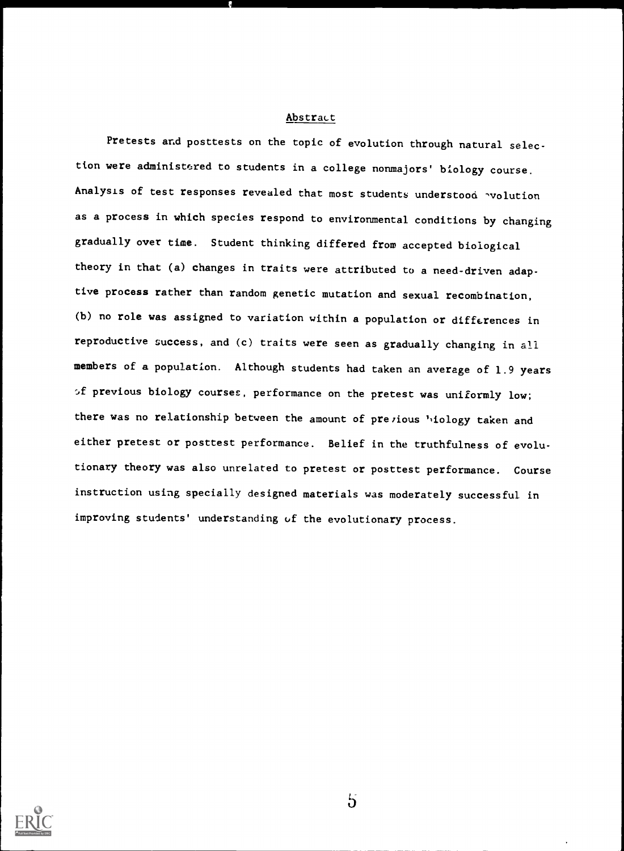#### Abstract

Pretests and posttests on the topic of evolution through natural selection were administered to students in a college nonmajors' biology course. Analysis of test responses revealed that most students understood 'volution as a process in which species respond to environmental conditions by changing gradually over time. Student thinking differed from accepted biological theory in that (a) changes in traits were attributed to a need-driven adaptive process rather than random genetic mutation and sexual recombination, (b) no role was assigned to variation within a population or differences in reproductive success, and (c) traits were seen as gradually changing in all members of a population. Although students had taken an average of 1.9 years of previous biology courses, performance on the pretest was uniformly low; there was no relationship between the amount of prezious hiology taken and either pretest or posttest performance. Belief in the truthfulness of evolutionary theory was also unrelated to pretest or posttest performance. Course instruction using specially designed materials was moderately successful in improving students' understanding of the evolutionary process.

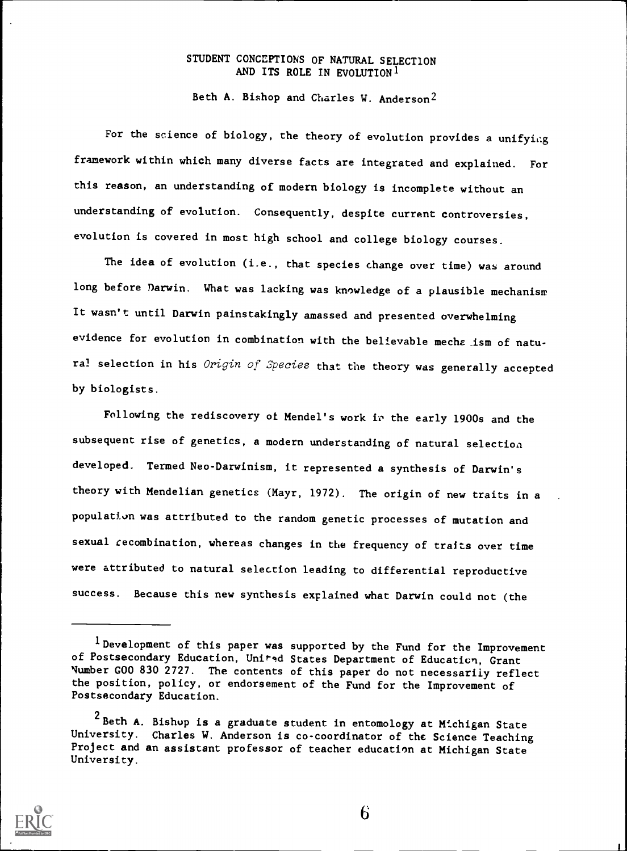## STUDENT CONCEPTIONS OF NATURAL SELECTION AND ITS ROLE IN EVOLUTION  $1$

Beth A. Bishop and Charles W. Anderson2

For the science of biology, the theory of evolution provides a unifying framework within which many diverse facts are integrated and explained. For this reason, an understanding of modern biology is incomplete without an understanding of evolution. Consequently, despite current controversies, evolution is covered in most high school and college biology courses.

The idea of evolution (i.e., that species change over time) was around long before Darwin. What was lacking was knowledge of a plausible mechanism It wasn't until Darwin painstakingly amassed and presented overwhelming evidence for evolution in combination with the believable mecha ism of natural selection in his Origin of Species that the theory was generally accepted by biologists.

Following the rediscovery of Mendel's work in the early 1900s and the subsequent rise of genetics, a modern understanding of natural selection developed. Termed Neo-Darwinism, it represented a synthesis of Darwin's theory with Mendelian genetics (Mayr, 1972). The origin of new traits in a population was attributed to the random genetic processes of mutation and sexual recombination, whereas changes in the frequency of traits over time were attributed to natural selection leading to differential reproductive success. Because this new synthesis explained what Darwin could not (the

<sup>&</sup>lt;sup>2</sup> Beth A. Bishop is a graduate student in entomology at Michigan State University. Charles W. Anderson is co-coordinator of the Science Teaching Project and an assistant professor of teacher education at Michigan State University.



<sup>1</sup>Development of this paper was supported by the Fund for the Improvement of Postsecondary Education, United States Department of Education, Grant Number G00 830 2727. The contents of this paper do not necessarily reflect the position, policy, or endorsement of the Fund for the Improvement of Postsecondary Education.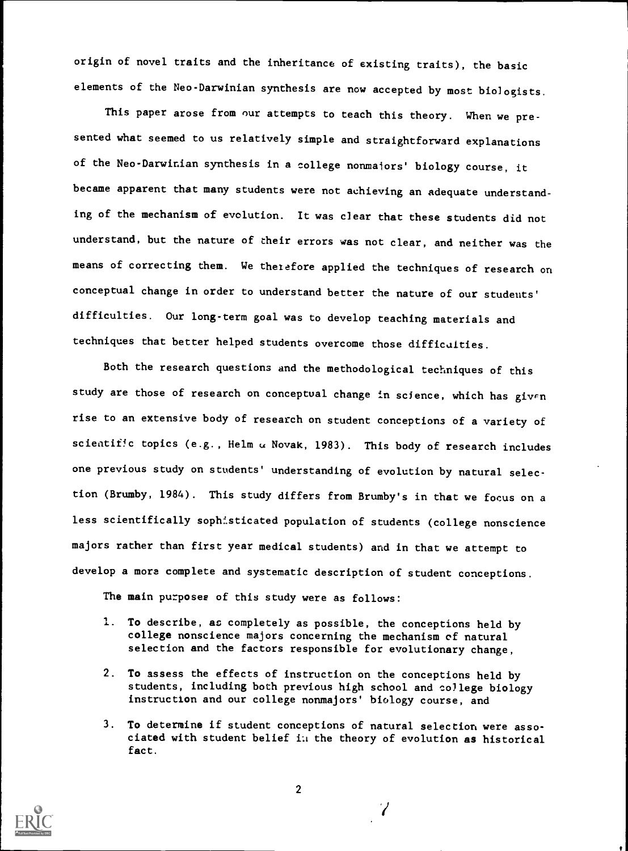origin of novel traits and the inheritance of existing traits), the basic elements of the Neo-Darwinian synthesis are now accepted by most biologists.

This paper arose from our attempts to teach this theory. When we presented what seemed to us relatively simple and straightforward explanations of the Neo-Darwinian synthesis in a college nonmajors' biology course, it became apparent that many students were not achieving an adequate understanding of the mechanism of evolution. It was clear that these students did not understand, but the nature of their errors was not clear, and neither was the means of correcting them. We therefore applied the techniques of research on conceptual change in order to understand better the nature of our students' difficulties. Our long-term goal was to develop teaching materials and techniques that better helped students overcome those difficulties.

Both the research questions and the methodological techniques of this study are those of research on conceptual change in science, which has given rise to an extensive body of research on student conceptions of a variety of scientific topics (e.g., Helm  $\alpha$  Novak, 1983). This body of research includes one previous study on students' understanding of evolution by natural selection (Brumby, 1984). This study differs from Brumby's in that we focus on a less scientifically sophisticated population of students (college nonscience majors rather than first year medical students) and in that we attempt to develop a more complete and systematic description of student conceptions.

The main purposes of this study were as follows:

- 1. To describe, as completely as possible, the conceptions held by college nonscience majors concerning the mechanism of natural selection and the factors responsible for evolutionary change,
- 2. To assess the effects of instruction on the conceptions held by students, including both previous high school and college biology instruction and our college nonmajors' biology course, and
- 3. To determine if student conceptions of natural selection were associated with student belief Li the theory of evolution as historical fact.

 $\gamma$ 

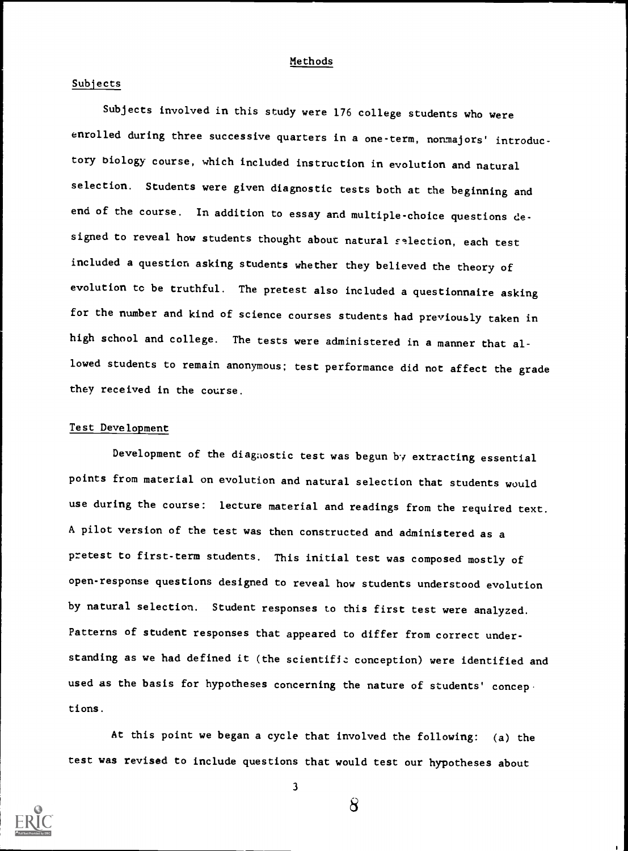#### Methods

#### Subjects

Subjects involved in this study were 176 college students who were enrolled during three successive quarters in a one-term, nonmajors' introductory biology course, which included instruction in evolution and natural selection. Students were given diagnostic tests both at the beginning and end of the course. In addition to essay and multiple-choice questions designed to reveal how students thought about natural selection, each test included a question asking students whether they believed the theory of evolution tc be truthful. The pretest also included a questionnaire asking for the number and kind of science courses students had previously taken in high school and college. The tests were administered in a manner that allowed students to remain anonymous; test performance did not affect the grade they received in the course.

#### Test Development

Development of the diagnostic test was begun by extracting essential points from material on evolution and natural selection that students would use during the course: lecture material and readings from the required text. A pilot version of the test was then constructed and administered as a pretest to first-term students. This initial test was composed mostly of open-response questions designed to reveal how students understood evolution by natural selection. Student responses to this first test were analyzed. Patterns of student responses that appeared to differ from correct understanding as we had defined it (the scientifiz conception) were identified and used as the basis for hypotheses concerning the nature of students' concep tions.

At this point we began a cycle that involved the following: (a) the test was revised to include questions that would test our hypotheses about



3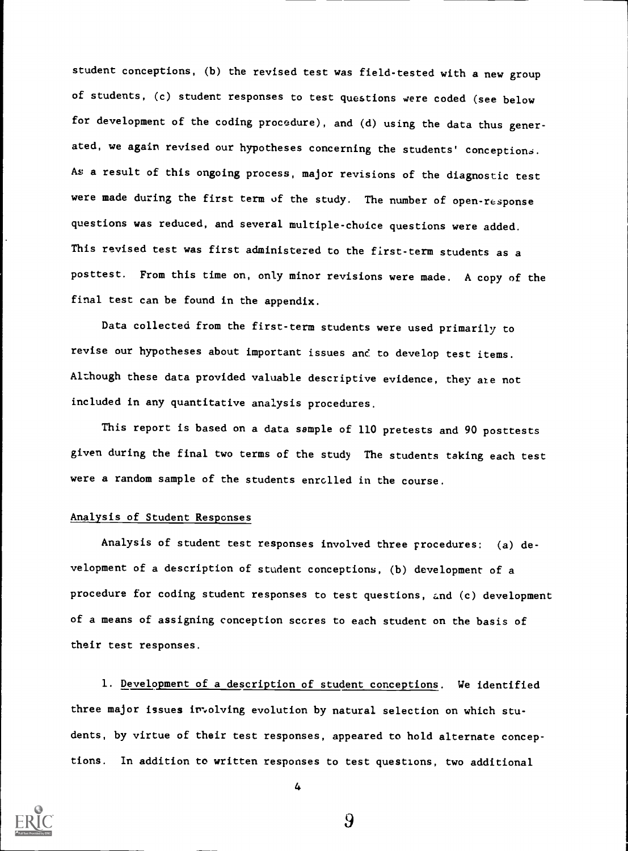student conceptions, (b) the revised test was field-tested with a new group of students, (c) student responses to test questions were coded (see below for development of the coding procedure), and (d) using the data thus generated, we again revised our hypotheses concerning the students' conceptions. As a result of this ongoing process, major revisions of the diagnostic test were made during the first term of the study. The number of open-response questions was reduced, and several multiple-choice questions were added. This revised test was first administered to the first-term students as a posttest. From this time on, only minor revisions were made. A copy of the final test can be found in the appendix.

Data collected from the first-term students were used primarily to revise our hypotheses about important issues and to develop test items. Although these data provided valuable descriptive evidence, they are not included in any quantitative analysis procedures.

This report is based on a data sample of 110 pretests and 90 posttests given during the final two terms of the study The students taking each test were a random sample of the students enrolled in the course.

#### Analysis of Student Responses

Analysis of student test responses involved three procedures: (a) development of a description of student conceptions, (b) development of a procedure for coding student responses to test questions, and (c) development of a means of assigning conception scores to each student on the basis of their test responses.

1. Development of a description of student conceptions. We identified three major issues irrolving evolution by natural selection on which students, by virtue of their test responses, appeared to hold alternate conceptions. In addition to written responses to test questions, two additional



4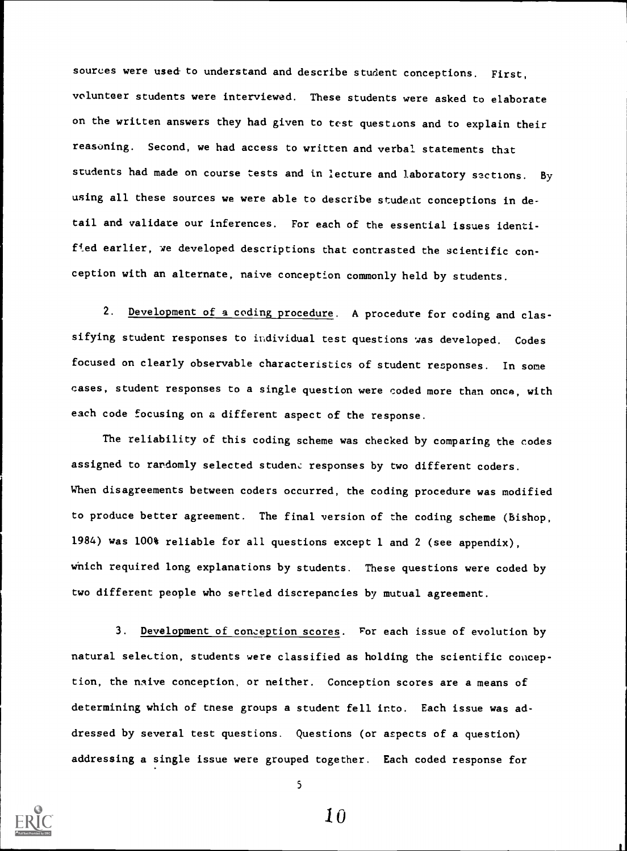sources were used to understand and describe student conceptions. First, volunteer students were interviewed. These students were asked to elaborate on the written answers they had given to test questions and to explain their reasoning. Second, we had access to written and verbal statements that students had made on course tests and in lecture and laboratory sections. By using all these sources we were able to describe student conceptions in detail and validate our inferences. For each of the essential issues identified earlier, we developed descriptions that contrasted the scientific con ception with an alternate, naive conception commonly held by students.

2. Development of a coding procedure. A procedure for coding and classifying student responses to individual test questions was developed. Codes focused on clearly observable characteristics of student responses. In some cases, student responses to a single question were coded more than once, with each code focusing on a different aspect of the response.

The reliability of this coding scheme was checked by comparing the codes assigned to randomly selected student responses by two different coders. When disagreements between coders occurred, the coding procedure was modified to produce better agreement. The final version of the coding scheme (Bishop, 1984) was 100% reliable for all questions except 1 and 2 (see appendix), which required long explanations by students. These questions were coded by two different people who sertled discrepancies by mutual agreement.

3. Development of conception scores. For each issue of evolution by natural selection, students were classified as holding the scientific conception, the naive conception, or neither. Conception scores are a means of determining which of these groups a student fell into. Each issue was addressed by several test questions. Questions (or aspects of a question) addressing a single issue were grouped together. Each coded response for



5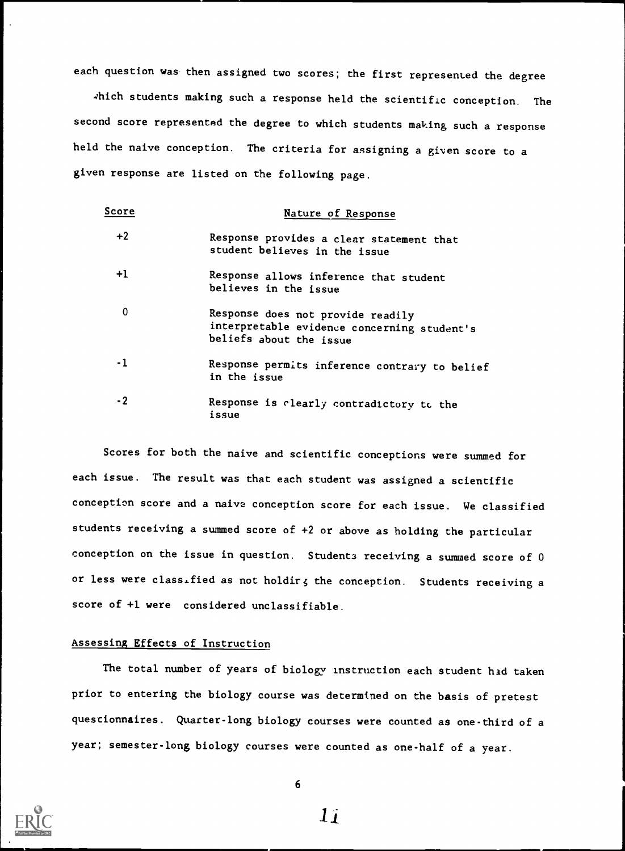each question was- then assigned two scores; the first represented the degree

which students making such a response held the scientific conception. The second score represented the degree to which students making such a response held the naive conception. The criteria for assigning a given score to a given response are listed on the following page.

| Score | Nature of Response                                                                                          |
|-------|-------------------------------------------------------------------------------------------------------------|
| $+2$  | Response provides a clear statement that<br>student believes in the issue                                   |
| $+1$  | Response allows inference that student<br>believes in the issue                                             |
| 0     | Response does not provide readily<br>interpretable evidence concerning student's<br>beliefs about the issue |
| - 1   | Response permits inference contrary to belief<br>in the issue                                               |
| $-2$  | Response is clearly contradictory to the<br>issue                                                           |

Scores for both the naive and scientific conceptions were summed for each issue. The result was that each student was assigned a scientific conception score and a naive conception score for each issue. We classified students receiving a summed score of +2 or above as holding the particular conception on the issue in question. Students receiving a summed score of  $0$ or less were classified as not holdir; the conception. Students receiving a score of +1 were considered unclassifiable.

#### Assessing Effects of Instruction

The total number of years of biology instruction each student had taken prior to entering the biology course was determined on the basis of pretest questionnaires. Quarter-long biology courses were counted as one-third of <sup>a</sup> year; semester-long biology courses were counted as one-half of a year.



6

 $1i$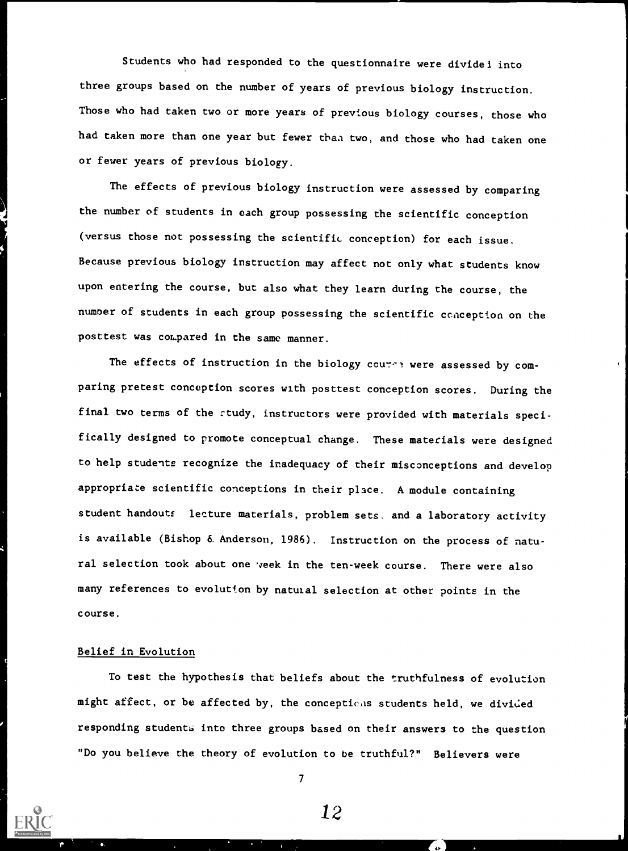Students who had responded to the questionnaire were dividel into three groups based on the number of years of previous biology instruction. Those who had taken two or more years of previous biology courses, those who had taken more than one year but fewer than two, and those who had taken one or fewer years of previous biology.

The effects of previous biology instruction were assessed by comparing the number of students in each group possessing the scientific conception (versus those not possessing the scientific conception) for each issue. Because previous biology instruction may affect not only what students know upon entering the course, but also what they learn during the course, the number of students in each group possessing the scientific conception on the posttest was compared in the same manner.

The effects of instruction in the biology cource were assessed by comparing pretest conception scores with posttest conception scores. During the final two terms of the study, instructors were provided with materials specifically designed to promote conceptual change. These materials were designed to help students recognize the inadequacy of their misconceptions and develop appropriate scientific conceptions in their place. A module containing student handouts lecture materials, problem sets, and a laboratory activity is available (Bishop 6. Anderson, 1986). Instruction on the process of natural selection took about one veek in the ten-week course. There were also many references to evolution by natural selection at other points in the course.

## Belief in Evolution

To test the hypothesis that beliefs about the truthfulness of evolution might affect, or be affected by, the conceptions students held, we divided responding students into three groups based on their answers to the question "Do you believe the theory of evolution to be truthful?" Believers were

 $\mathcal{T}$  and  $\mathcal{T}$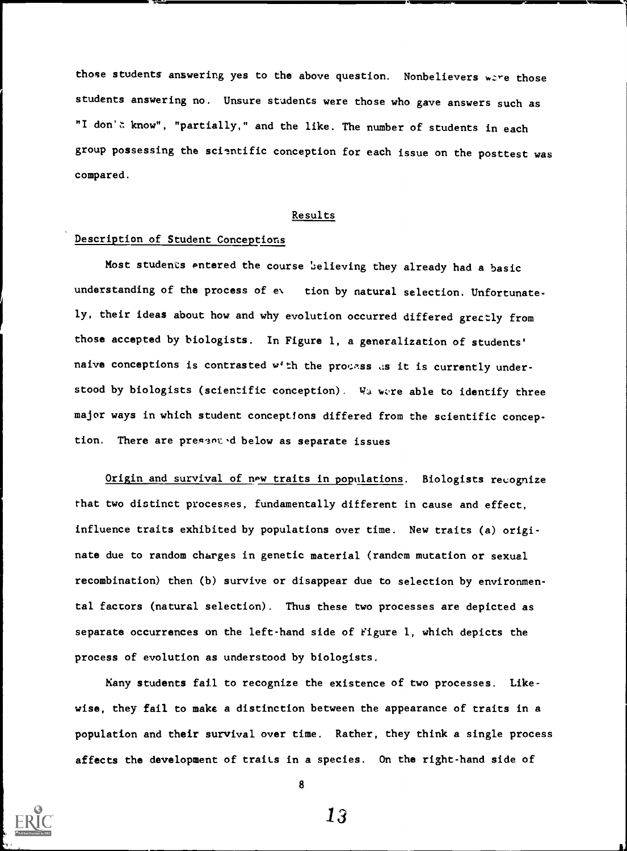those students answering yes to the above question. Nonbelievers were those students answering no. Unsure students were those who gave answers such as "I don't know", "partially," and the like. The number of students in each group possessing the scientific conception for each issue on the posttest was compared.

#### Results

#### Description of Student Conceptions

Most students entered the course believing they already had a basic understanding of the process of ev. tion by natural selection. Unfortunately, their ideas about how and why evolution occurred differed grectly from those accepted by biologists. In Figure 1, a generalization of students' naive conceptions is contrasted w'th the process as it is currently understood by biologists (scientific conception). We were able to identify three major ways in which student conceptions differed from the scientific conception. There are presented below as separate issues

Origin and survival of new traits in populations. Biologists recognize that two distinct processes, fundamentally different in cause and effect, influence traits exhibited by populations over time. New traits (a) originate due to random charges in genetic material (random mutation or sexual recombination) then (b) survive or disappear due to selection by environmental factors (natural selection). Thus these two processes are depicted as separate occurrences on the left-hand side of Figure 1, which depicts the process of evolution as understood by biologists.

Many students fail to recognize the existence of two processes. Likewise, they fail to maks a distinction between the appearance of traits in a population and their survival over time. Rather, they think a single process affects the development of traits in a species. On the right-hand side of



8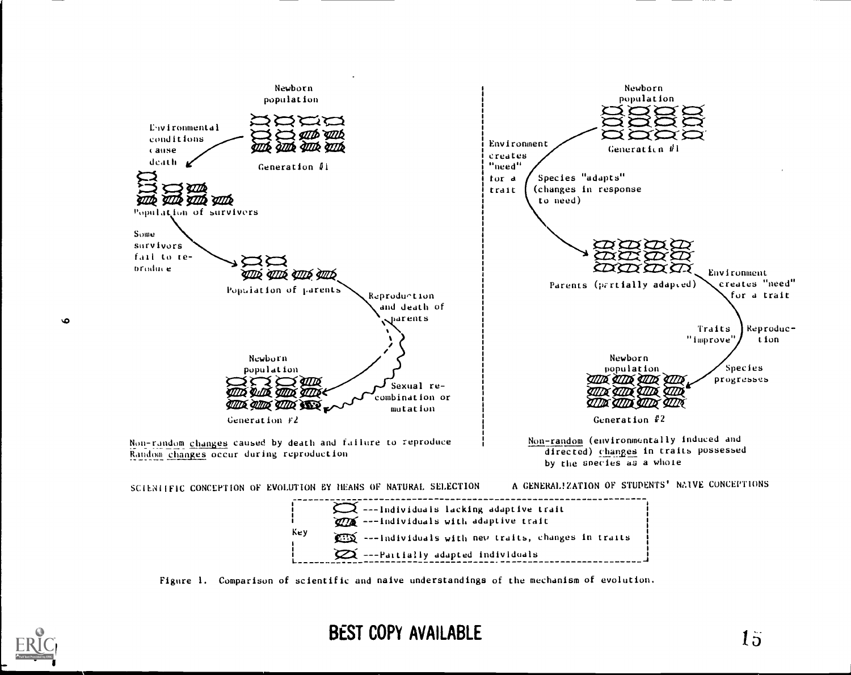

Figure I. Comparison of scientific and naive understandings of the mechanism of evolution.

L-------



 $\bullet$ 

# BEST COPY AVAILABLE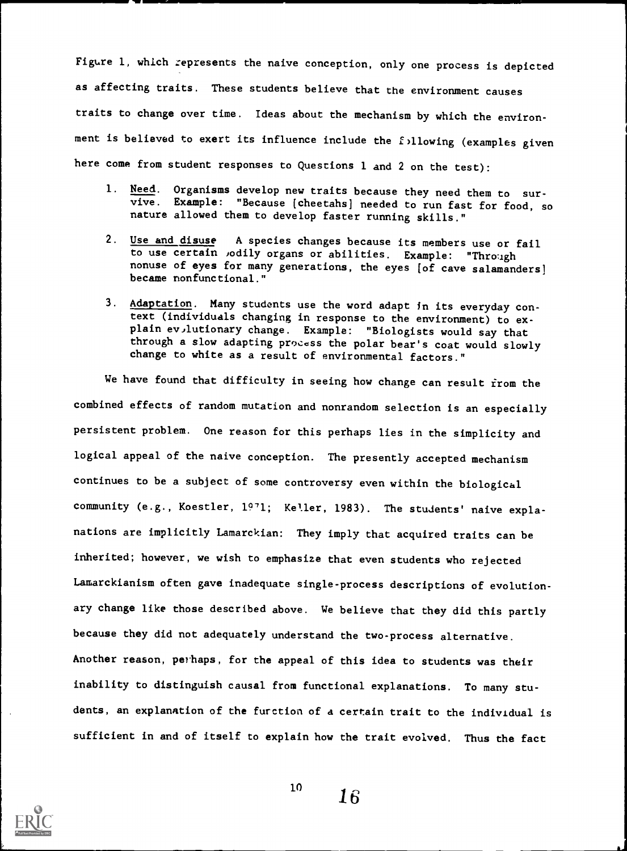Figure 1, which represents the naive conception, only one process is depicted as affecting traits. These students believe that the environment causes traits to change over time. Ideas about the mechanism by which the environment is believed to exert its influence include the following (examples given here come from student responses to Questions 1 and 2 on the test):

- 1. Need. Organisms develop new traits because they need them to sur-<br>vive. Example: "Because [cheetahs] needed to run fast for food, so nature allowed them to develop faster running skills."
- 2. Use and disuse A species changes because its members use or fail to use certain ,odily organs or abilities. Example: "Through nonuse of eyes for many generations, the eyes [of cave salamanders] became nonfunctional."
- 3. Adaptation. Many students use the word adapt in its everyday context (individuals changing in response to the environment) to explain ev,lutionary change. Example: "Biologists would say that through a slow adapting process the polar bear's coat would slowly change to white as a result of environmental factors."

We have found that difficulty in seeing how change can result from the combined effects of random mutation and nonrandom selection is an especially persistent problem. One reason for this perhaps lies in the simplicity and logical appeal of the naive conception. The presently accepted mechanism continues to be a subject of some controversy even within the biological community (e.g., Koestler, 1971; Keller, 1983). The students' naive explanations are implicitly Lamarckian: They imply that acquired traits can be inherited; however, we wish to emphasize that even students who rejected Lamarckianism often gave inadequate single-process descriptions of evolutionary change like those described above. We believe that they did this partly because they did not adequately understand the two-process alternative. Another reason, perhaps, for the appeal of this idea to students was their inability to distinguish causal from functional explanations. To many students, an explanation of the furction of a certain trait to the individual is sufficient in and of itself to explain how the trait evolved. Thus the fact



 $^{10}$  16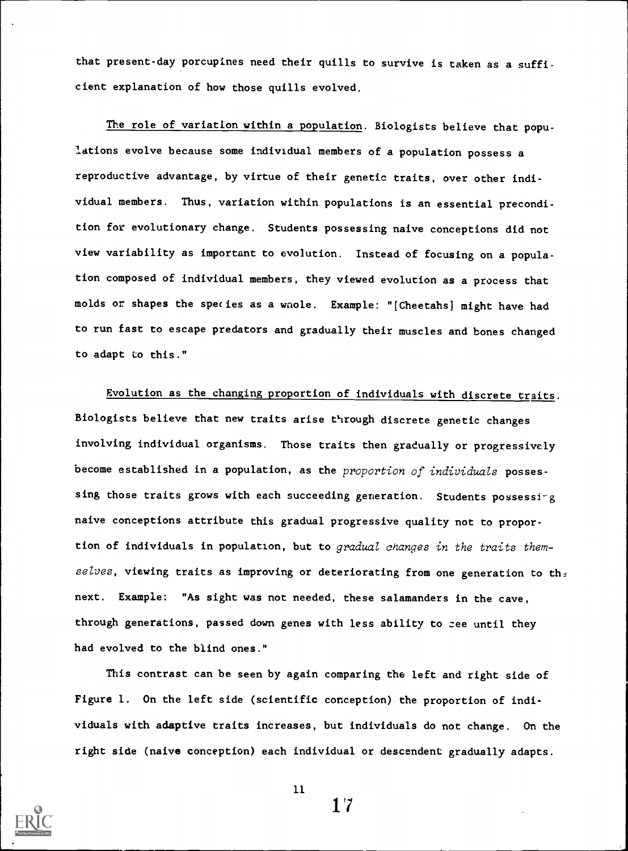that present-day porcupines need their quills to survive is taken as a sufficient explanation of how those quills evolved.

The role of variation within a population. Biologists believe that populations evolve because some individual members of a population possess a reproductive advantage, by virtue of their genetic traits, over other individual members. Thus, variation within populations is an essential precondition for evolutionary change. Students possessing naive conceptions did not view variability as important to evolution. Instead of focusing on a population composed of individual members, they viewed evolution as a process that molds or shapes the species as a wnole. Example: "[Cheetahs] might have had to run fast to escape predators and gradually their muscles and bones changed to adapt to this."

Evolution as the changing proportion of individuals with discrete traits. Biologists believe that new traits arise through discrete genetic changes involving individual organisms. Those traits then gradually or progressively become established in a population, as the proportion of individuals possessing those traits grows with each succeeding generation. Students possessing naive conceptions attribute this gradual progressive quality not to proportion of individuals in population, but to gradual changes in the traits themselves, viewing traits as improving or deteriorating from one generation to the next. Example: "As sight was not needed, these salamanders in the cave, through generations, passed down genes with less ability to zee until they had evolved to the blind ones."

This contrast can be seen by again comparing the left and right side of Figure 1. On the left side (scientific conception) the proportion of individuals with adaptive traits increases, but individuals do not change. On the right side (naive conception) each individual or descendent gradually adapts.



11

 $1'7$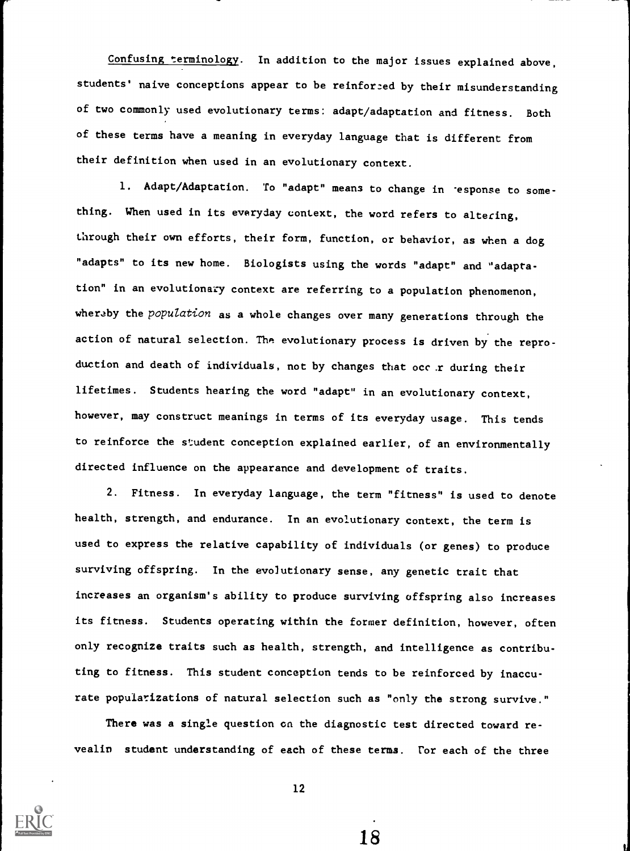Confusing terminology. In addition to the major issues explained above, students' naive conceptions appear to be reinforced by their misunderstanding of two commonly used evolutionary terms: adapt/adaptation and fitness. Both of these terms have a meaning in everyday language that is different from their definition when used in an evolutionary context.

1. Adapt/Adaptation. To "adapt" means to change in 'esponse to something. When used in its everyday context, the word refers to altering, through their own efforts, their form, function, or behavior, as when a dog "adapts" to its new home. Biologists using the words "adapt" and "adaptation" in an evolutionary context are referring to a population phenomenon, wheraby the population as a whole changes over many generations through the action of natural selection. The evolutionary process is driven by the reproduction and death of individuals, not by changes that occ.r during their lifetimes. Students hearing the word "adapt" in an evolutionary context, however, may construct meanings in terms of its everyday usage. This tends to reinforce the student conception explained earlier, of an environmentally directed influence on the appearance and development of traits.

2. Fitness. In everyday language, the term "fitness" is used to denote health, strength, and endurance. In an evolutionary context, the term is used to express the relative capability of individuals (or genes) to produce surviving offspring. In the evolutionary sense, any genetic trait that increases an organism's ability to produce surviving offspring also increases its fitness. Students operating within the former definition, however, often only recognize traits such as health, strength, and intelligence as contributing to fitness. This student conception tends to be reinforced by inaccurate popularizations of natural selection such as "only the strong survive."

There was a single question on the diagnostic test directed toward revealin student understanding of each of these terms. For each of the three



12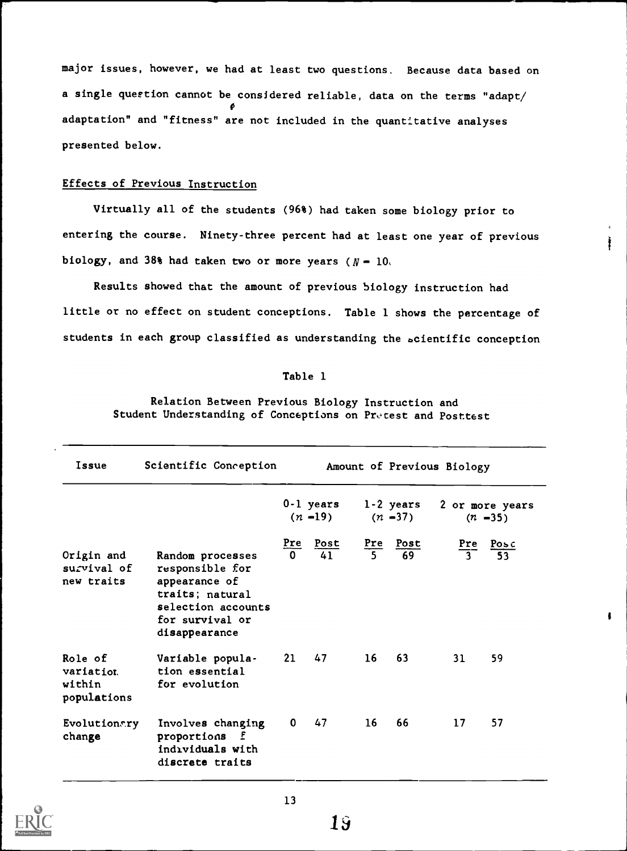major issues, however, we had at least two questions. Because data based on a single question cannot be considered reliable, data on the terms "adapt/  $\mathbf{P}$  and  $\mathbf{P}$ adaptation" and "fitness" are not included in the quantitative analyses presented below.

## Effects of Previous Instruction

Virtually all of the students (96%) had taken some biology prior to entering the course. Ninety-three percent had at least one year of previous biology, and 38% had taken two or more years  $(N - 10)$ 

Results showed that the amount of previous biology instruction had little or no effect on student conceptions. Table 1 shows the percentage of students in each group classified as understanding the scientific conception

#### Table 1

Relation Between Previous Biology Instruction and Student Understanding of Conceptions on Pretest and Posttest

| Issue                                         | Scientific Conception                                                                                                             |                 |                         |                       |                         | Amount of Previous Biology |                                                       |
|-----------------------------------------------|-----------------------------------------------------------------------------------------------------------------------------------|-----------------|-------------------------|-----------------------|-------------------------|----------------------------|-------------------------------------------------------|
|                                               |                                                                                                                                   |                 | 0-1 years<br>$(n - 19)$ |                       | 1-2 years<br>$(n - 37)$ |                            | 2 or more years<br>$(n - 35)$                         |
| Origin and<br>survival of<br>new traits       | Random processes<br>responsible for<br>appearance of<br>traits; natural<br>selection accounts<br>for survival or<br>disappearance | Pre<br>$\Omega$ | Post<br>$\overline{41}$ | Pre<br>$\overline{5}$ | Post<br>69              |                            | $\frac{\text{Pre}}{3}$ $\frac{\text{Posc}}{53}$<br>53 |
| Role of<br>variation<br>within<br>populations | Variable popula-<br>tion essential<br>for evolution                                                                               | 21              | 47                      | 16 <sup>1</sup>       | 63                      | 31                         | 59                                                    |
| Evolutionary<br>change                        | Involves changing<br>proportions<br>- E<br>individuals with<br>discrete traits                                                    | 0               | 47                      | 16 <sup>1</sup>       | 66                      | 17                         | 57                                                    |

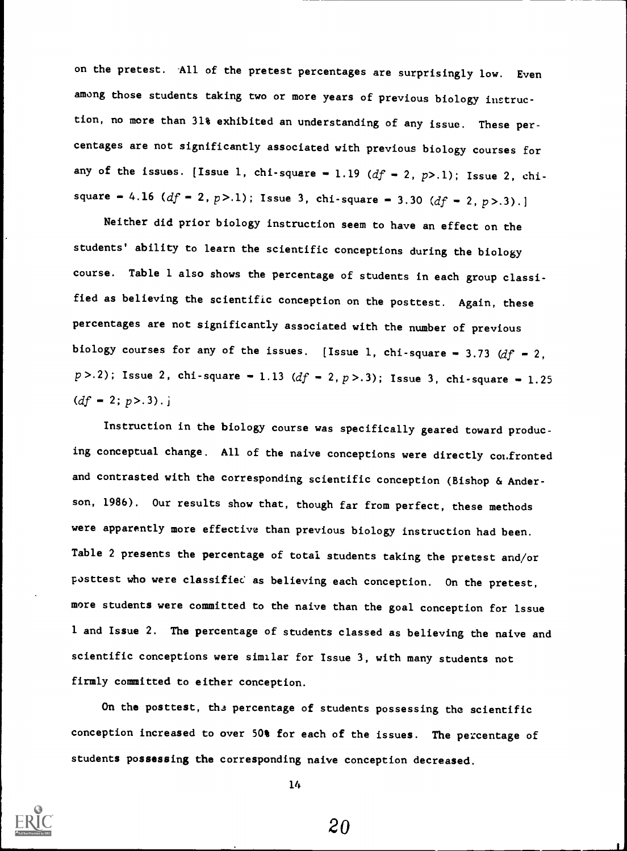on the pretest. All of the pretest percentages are surprisingly low. Even among those students taking two or more years of previous biology instruction, no more than 31% exhibited an understanding of any issue. These percentages are not significantly associated with previous biology courses for any of the issues. [Issue 1, chi-square = 1.19 ( $df$  = 2, p>.1); Issue 2, chisquare - 4.16 ( $df$  - 2,  $p$ >.1); Issue 3, chi-square - 3.30 ( $df$  - 2,  $p$ >.3).]

Neither did prior biology instruction seem to have an effect on the students' ability to learn the scientific conceptions during the biology course. Table I also shows the percentage of students in each group classified as believing the scientific conception on the posttest. Again, these percentages are not significantly associated with the number of previous biology courses for any of the issues. [Issue 1, chi-square - 3.73  $df$  - 2,  $p > .2$ ); Issue 2, chi-square = 1.13 (df = 2, p > 0.3); Issue 3, chi-square = 1.25  $(df - 2; p > .3) . j$ 

Instruction in the biology course was specifically geared toward producing conceptual change. All of the naive conceptions were directly confronted and contrasted with the corresponding scientific conception (Bishop & Anderson, 1986). Our results show that, though far from perfect, these methods were apparently more effective than previous biology instruction had been. Table 2 presents the percentage of total students taking the pretest and/or posttest who were classified as believing each conception. On the pretest, more students were committed to the naive than the goal conception for issue 1 and Issue 2. The percentage of students classed as believing the naive and scientific conceptions were similar for Issue 3, with many students not firmly committed to either conception.

On the posttest, the percentage of students possessing the scientific conception increased to over 50% for each of the issues. The percentage of students possessing the corresponding naive conception decreased.

lh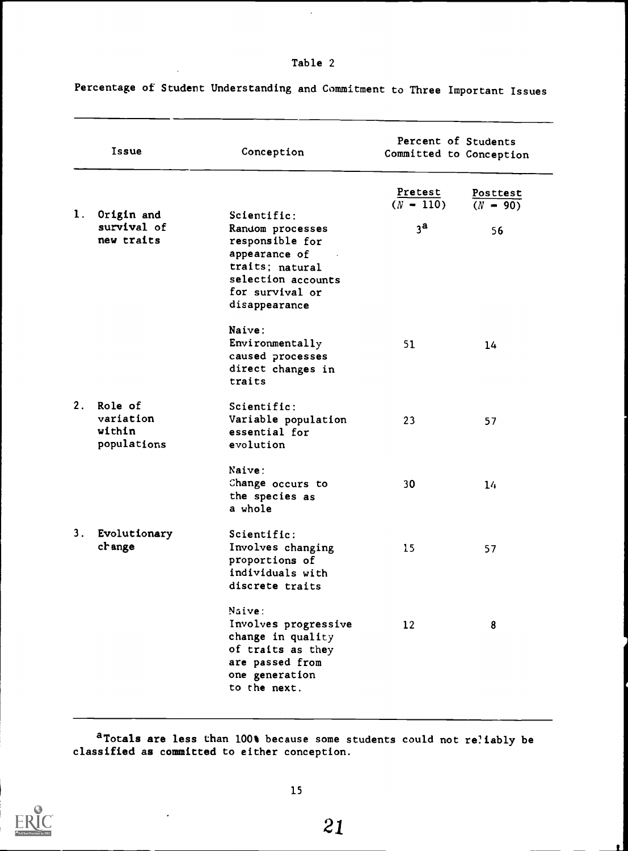# Table 2

Percentage of Student Understanding and Commitment to Three Important Issues

| Issue |                                               | Conception                                                                                                                        | Percent of Students<br>Committed to Conception |                        |  |
|-------|-----------------------------------------------|-----------------------------------------------------------------------------------------------------------------------------------|------------------------------------------------|------------------------|--|
| 1.    | Origin and                                    | Scientific:                                                                                                                       | Pretest<br>$(N - 110)$                         | Posttest<br>$(N - 90)$ |  |
|       | survival of<br>new traits                     | Random processes<br>responsible for<br>appearance of<br>traits; natural<br>selection accounts<br>for survival or<br>disappearance | 3 <sup>a</sup>                                 | 56                     |  |
|       |                                               | Naive:<br>Environmentally<br>caused processes<br>direct changes in<br>traits                                                      | 51                                             | 14                     |  |
| 2.    | Role of<br>variation<br>within<br>populations | Scientific:<br>Variable population<br>essential for<br>evolution                                                                  | 23                                             | 57                     |  |
|       |                                               | Naive:<br>Change occurs to<br>the species as<br>a whole                                                                           | 30                                             | 14                     |  |
| 3.    | Evolutionary<br>change                        | Scientific:<br>Involves changing<br>proportions of<br>individuals with<br>discrete traits                                         | 15                                             | 57                     |  |
|       |                                               | Naive:<br>Involves progressive<br>change in quality<br>of traits as they<br>are passed from<br>one generation<br>to the next.     | 12                                             | 8                      |  |

aTotals are less than 100% because some students could not reliably be classified as committed to either conception.

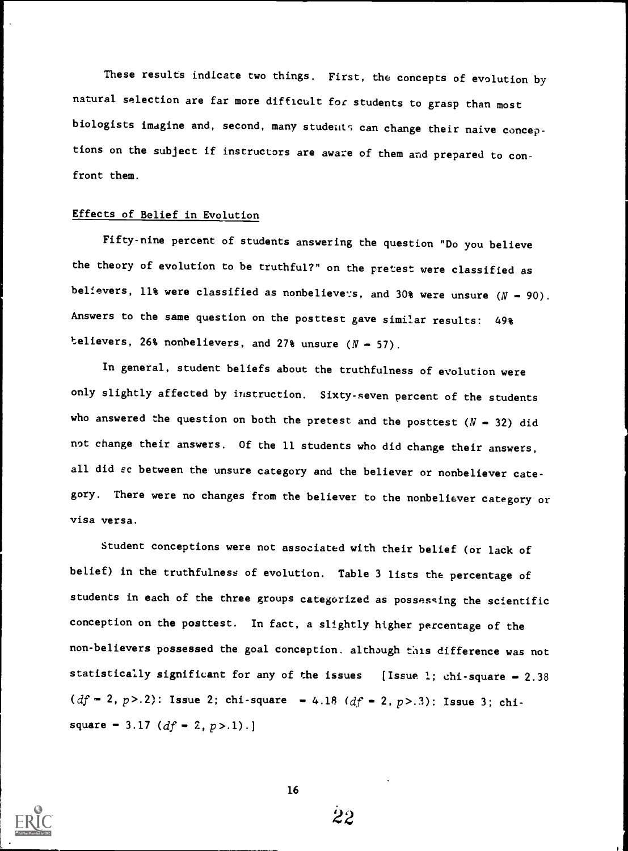These results indicate two things. First, the concepts of evolution by natural selection are far more difficult for students to grasp than most biologists imagine and, second, many studeats can change their naive conceptions on the subject if instructors are aware of them and prepared to con front them.

#### Effects of Belief in Evolution

Fifty-nine percent of students answering the question "Do you believe the theory of evolution to be truthful?" on the pretest were classified as believers, 11% were classified as nonbelievers, and 30% were unsure  $(N - 90)$ . Answers to the same question on the posttest gave similar results: 49% telievers, 26% nonbelievers, and 27% unsure  $(N - 57)$ .

In general, student beliefs about the truthfulness of evolution were only slightly affected by instruction. Sixty-seven percent of the students who answered the question on both the pretest and the posttest  $(N - 32)$  did not change their answers. Of the 11 students who did change their answers, all did sc between the unsure category and the believer or nonbeliever category. There were no changes from the believer to the nonbeliever category or visa versa.

Student conceptions were not associated with their belief (or lack of belief) in the truthfulness of evolution. Table 3 lists the percentage of students in each of the three groups categorized as possessing the scientific conception on the posttest. In fact, a slightly higher percentage of the non-believers possessed the goal conception. although this difference was not statistically significant for any of the issues [Issue 1; chi-square  $-2.38$  $(df = 2, p > .2)$ : Issue 2; chi-square = 4.18  $(df = 2, p > .3)$ : Issue 3; chisquare = 3.17  $(df - 2, p > 1)$ .]



22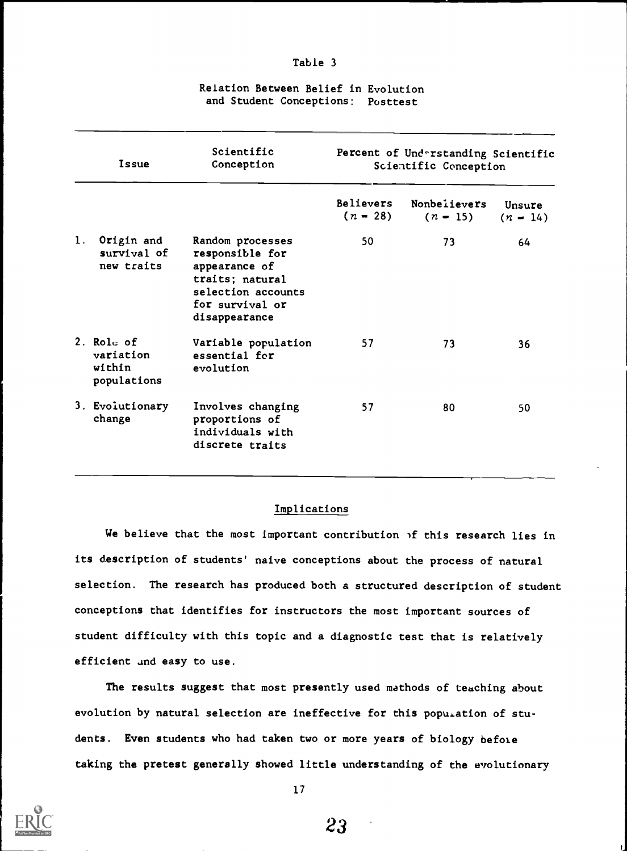|    | Issue                                              | Scientific<br>Conception                                                                                                          | Percent of Understanding Scientific<br>Scientific Conception |                            |                      |  |
|----|----------------------------------------------------|-----------------------------------------------------------------------------------------------------------------------------------|--------------------------------------------------------------|----------------------------|----------------------|--|
|    |                                                    |                                                                                                                                   | <b>Believers</b><br>$(n - 28)$                               | Nonbelievers<br>$(n - 15)$ | Unsure<br>$(n - 14)$ |  |
| 1. | Origin and<br>survival of<br>new traits            | Random processes<br>responsible for<br>appearance of<br>traits; natural<br>selection accounts<br>for survival or<br>disappearance | 50                                                           | 73                         | 64                   |  |
|    | 2. $Rolz$ of<br>variation<br>within<br>populations | Variable population<br>essential for<br>evolution                                                                                 | 57                                                           | 73                         | 36                   |  |
|    | 3. Evolutionary<br>change                          | Involves changing<br>proportions of<br>individuals with<br>discrete traits                                                        | 57                                                           | 80                         | 50                   |  |

#### Relation Between Belief in Evolution and Student Conceptions: Posttest

Table 3

#### Implications

We believe that the most important contribution  $\delta$  this research lies in its description of students' naive conceptions about the process of natural selection. The research has produced both a structured description of student conceptions that identifies for instructors the most important sources of student difficulty with this topic and a diagnostic test that is relatively efficient and easy to use.

The results suggest that most presently used mathods of teaching about evolution by natural selection are ineffective for this population of students. Even students who had taken two or more years of biology before taking the pretest generally showed little understanding of the evolutionary



17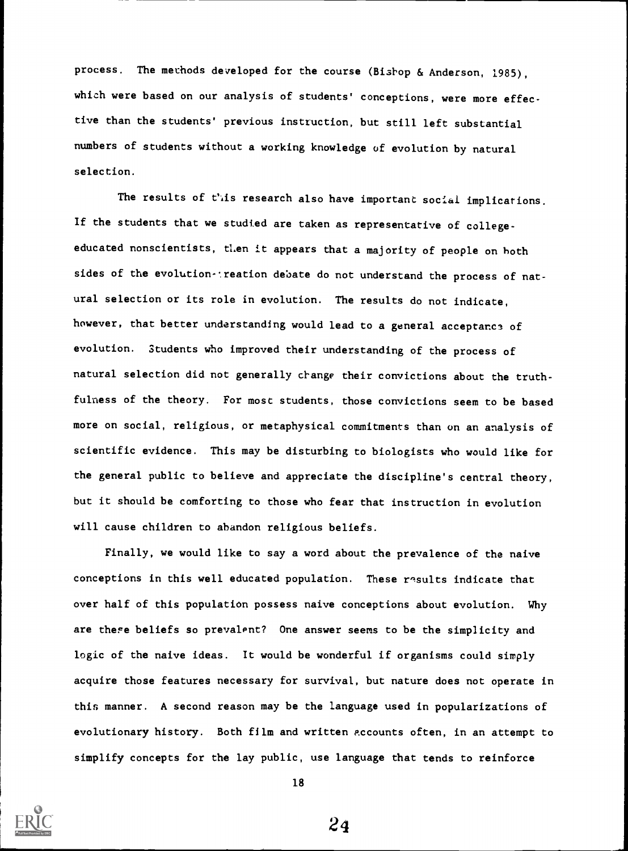process. The methods developed for the course (Bishop & Anderson, 1985), which were based on our analysis of students' conceptions, were more effective than the students' previous instruction, but still left substantial numbers of students without a working knowledge of evolution by natural selection.

The results of this research also have important social implications. If the students that we studied are taken as representative of collegeeducated nonscientists, then it appears that a majority of people on both sides of the evolution-: reation debate do not understand the process of natural selection or its role in evolution. The results do not indicate, however, that better understanding would lead to a general acceptance of evolution. Students who improved their understanding of the process of natural selection did not generally change their convictions about the truthfulness of the theory. For most students, those convictions seem to be based more on social, religious, or metaphysical commitments than on an analysis of scientific evidence. This may be disturbing to biologists who would like for the general public to believe and appreciate the discipline's central theory, but it should be comforting to those who fear that instruction in evolution will cause children to abandon religious beliefs.

Finally, we would like to say a word about the prevalence of the naive conceptions in this well educated population. These results indicate that over half of this population possess naive conceptions about evolution. Why are there beliefs so prevalent? One answer seems to be the simplicity and logic of the naive ideas. It would be wonderful if organisms could simply acquire those features necessary for survival, but nature does not operate in this manner. A second reason may be the language used in popularizations of evolutionary history. Both film and written accounts often, in an attempt to simplify concepts for the lay public, use language that tends to reinforce



18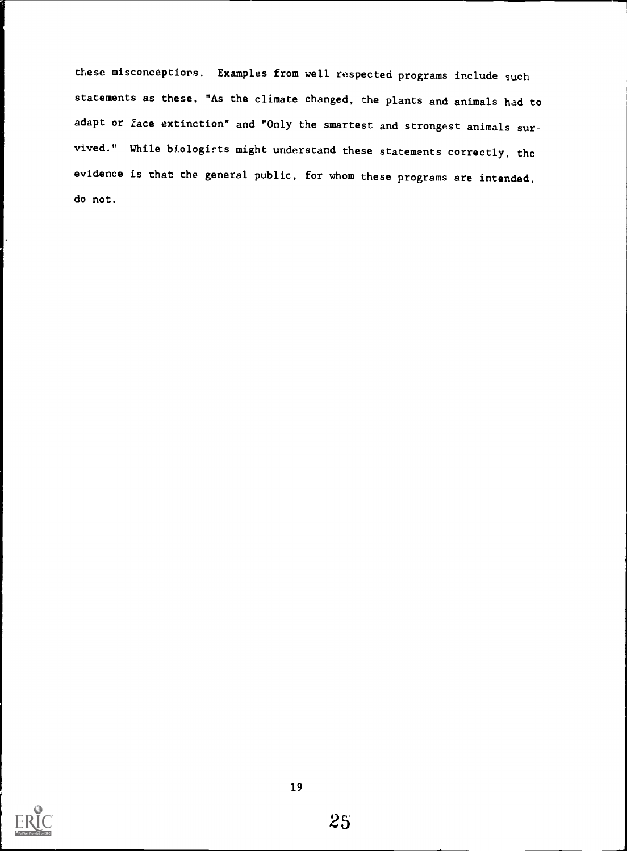these misconcepttors. Examples from well respected programs include such statements as these, "As the climate changed, the plants and animals had to adapt or face extinction" and "Only the smartest and strongest animals survived." While biologirts might understand these statements correctly, the evidence is that the general public, for whom these programs are intended, do not.

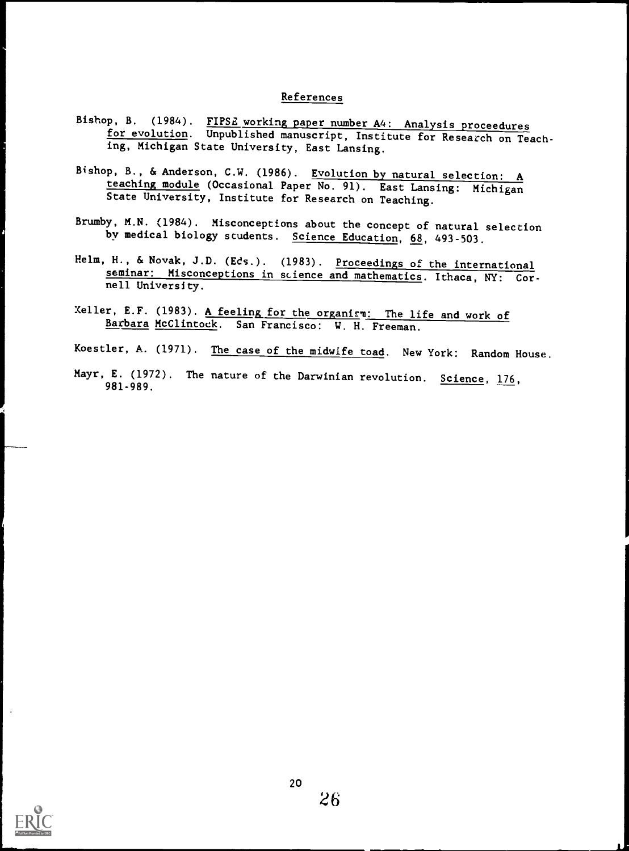### References

- Bishop, B. (1984). FIPSE working paper number A4: Analysis proceedures for evolution. Unpublished manuscript, Institute for Research on Teaching, Michigan State University, East Lansing.
- Bishop, B., & Anderson, C.W. (1986). Evolution by natural selection: A teaching module (Occasional Paper No. 91). East Lansing: Michigan State University, Institute for Research on Teaching.
- Brumby, M.N. (1984). Misconceptions about the concept of natural selection by medical biology students. Science Education, 68, 493-503.
- Helm, H., & Novak, J.D. (Eds.). (1983). Proceedings of the international seminar: Misconceptions in science and mathematics. Ithaca, NY: Cornell University.
- Xeller, E.F. (1983). A feeling for the organism: The life and work of Barbara McClintock. San Francisco: W. H. Freeman.
- Koestler, A. (1971). The case of the midwife toad. New York: Random House.

1

id

Mayr, E. (1972). The nature of the Darwinian revolution. Science,  $176$ , 981-989.

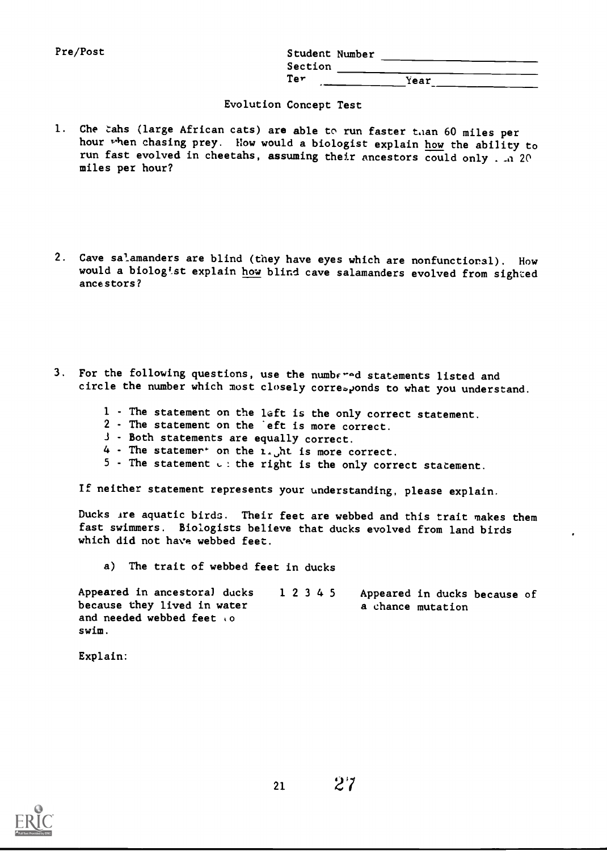| <b>Pre/Post</b> | Student Number |             |
|-----------------|----------------|-------------|
|                 | Section        |             |
|                 | Ter            | Year<br>- - |

#### Evolution Concept Test

- 1. Che tahs (large African cats) are able to run faster than 60 miles per hour when chasing prey. How would a biologist explain how the ability to run fast evolved in cheetahs, assuming their ancestors could only . . a 20 miles per hour?
- 2. Cave salamanders are blind (they have eyes which are nonfunctional). How would a biologist explain how blind cave salamanders evolved from sighted ancestors?
- 3. For the following questions, use the numbered statements listed and circle the number which most closely corresponds to what you understand.
	- 1 The statement on the left is the only correct statement.
	- 2 The statement on the eft is more correct.
	- Both statements are equally correct.
	- 4 The statemer<sup>+</sup> on the  $i$ . ht is more correct.
	- $5$  The statement  $\cup$ : the right is the only correct statement.

If neither statement represents your understanding, please explain.

Ducks Are aquatic birds. Their feet are webbed and this trait makes them fast swimmers. Biologists believe that ducks evolved from land birds which did not have webbed feet.

a) The trait of webbed feet in ducks

Appeared in ancestoral ducks 12345 because they lived in water and needed webbed feet to swim. Appeared in ducks because of a chance mutation

Explain: